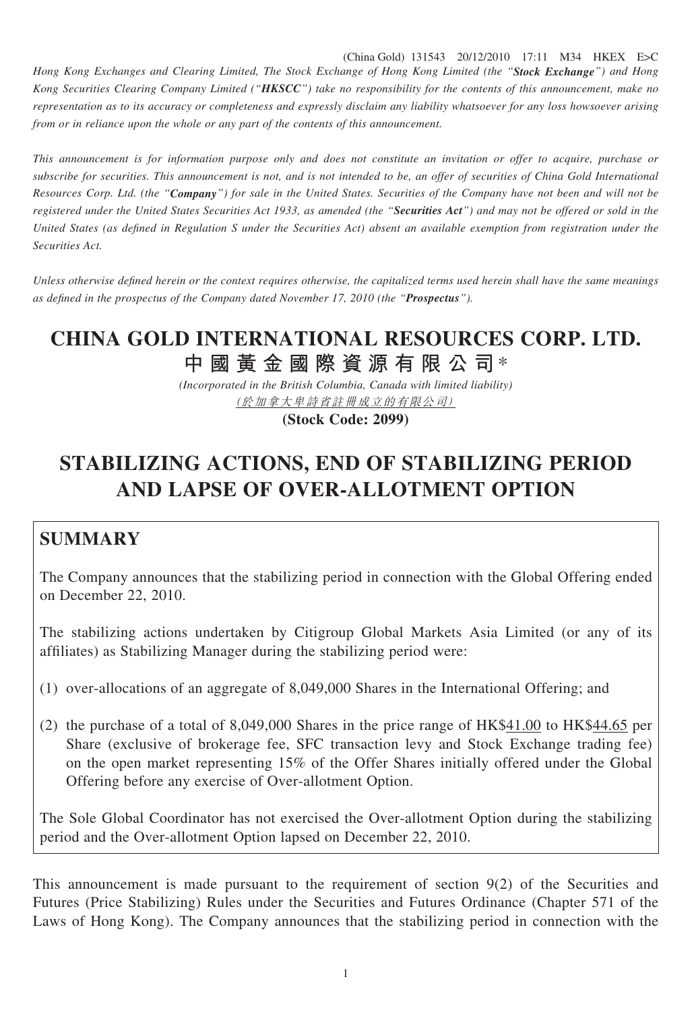(China Gold) 131543 20/12/2010 17:11 M34 HKEX E>C

*Hong Kong Exchanges and Clearing Limited, The Stock Exchange of Hong Kong Limited (the "Stock Exchange") and Hong Kong Securities Clearing Company Limited ("HKSCC") take no responsibility for the contents of this announcement, make no representation as to its accuracy or completeness and expressly disclaim any liability whatsoever for any loss howsoever arising from or in reliance upon the whole or any part of the contents of this announcement.*

*This announcement is for information purpose only and does not constitute an invitation or offer to acquire, purchase or subscribe for securities. This announcement is not, and is not intended to be, an offer of securities of China Gold International Resources Corp. Ltd. (the "Company") for sale in the United States. Securities of the Company have not been and will not be registered under the United States Securities Act 1933, as amended (the "Securities Act") and may not be offered or sold in the United States (as defined in Regulation S under the Securities Act) absent an available exemption from registration under the Securities Act.*

*Unless otherwise defined herein or the context requires otherwise, the capitalized terms used herein shall have the same meanings as defi ned in the prospectus of the Company dated November 17, 2010 (the "Prospectus").*

## **CHINA GOLD INTERNATIONAL RESOURCES CORP. LTD. 中國黃金國際資源有限公司**\*

*(Incorporated in the British Columbia, Canada with limited liability)* (於加拿大卑詩省註冊成立的有限公司)

**(Stock Code: 2099)**

## **STABILIZING ACTIONS, END OF STABILIZING PERIOD AND LAPSE OF OVER-ALLOTMENT OPTION**

## **SUMMARY**

The Company announces that the stabilizing period in connection with the Global Offering ended on December 22, 2010.

The stabilizing actions undertaken by Citigroup Global Markets Asia Limited (or any of its affiliates) as Stabilizing Manager during the stabilizing period were:

- (1) over-allocations of an aggregate of 8,049,000 Shares in the International Offering; and
- (2) the purchase of a total of 8,049,000 Shares in the price range of  $HK$41.00$  to  $HK$44.65$  per Share (exclusive of brokerage fee, SFC transaction levy and Stock Exchange trading fee) on the open market representing 15% of the Offer Shares initially offered under the Global Offering before any exercise of Over-allotment Option.

The Sole Global Coordinator has not exercised the Over-allotment Option during the stabilizing period and the Over-allotment Option lapsed on December 22, 2010.

This announcement is made pursuant to the requirement of section 9(2) of the Securities and Futures (Price Stabilizing) Rules under the Securities and Futures Ordinance (Chapter 571 of the Laws of Hong Kong). The Company announces that the stabilizing period in connection with the